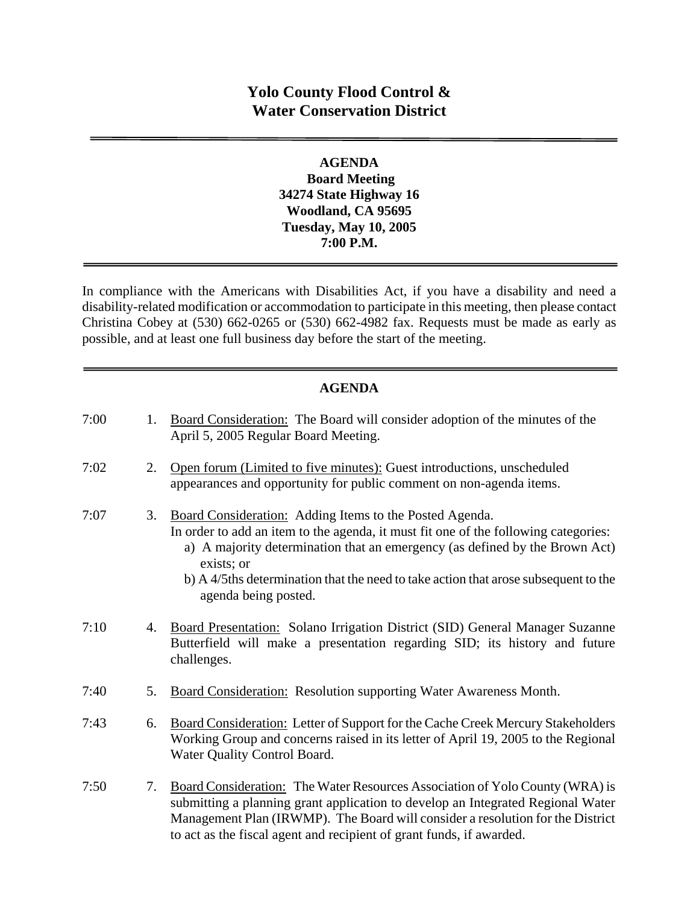# **Yolo County Flood Control & Water Conservation District**

### **AGENDA Board Meeting 34274 State Highway 16 Woodland, CA 95695 Tuesday, May 10, 2005 7:00 P.M.**

In compliance with the Americans with Disabilities Act, if you have a disability and need a disability-related modification or accommodation to participate in this meeting, then please contact Christina Cobey at (530) 662-0265 or (530) 662-4982 fax. Requests must be made as early as possible, and at least one full business day before the start of the meeting.

### **AGENDA**

| 7:00 | 1. | Board Consideration: The Board will consider adoption of the minutes of the<br>April 5, 2005 Regular Board Meeting.                                                                                                                                                                                                                                        |
|------|----|------------------------------------------------------------------------------------------------------------------------------------------------------------------------------------------------------------------------------------------------------------------------------------------------------------------------------------------------------------|
| 7:02 | 2. | Open forum (Limited to five minutes): Guest introductions, unscheduled<br>appearances and opportunity for public comment on non-agenda items.                                                                                                                                                                                                              |
| 7:07 | 3. | Board Consideration: Adding Items to the Posted Agenda.<br>In order to add an item to the agenda, it must fit one of the following categories:<br>a) A majority determination that an emergency (as defined by the Brown Act)<br>exists; or<br>b) A 4/5ths determination that the need to take action that arose subsequent to the<br>agenda being posted. |
| 7:10 | 4. | Board Presentation: Solano Irrigation District (SID) General Manager Suzanne<br>Butterfield will make a presentation regarding SID; its history and future<br>challenges.                                                                                                                                                                                  |
| 7:40 | 5. | Board Consideration: Resolution supporting Water Awareness Month.                                                                                                                                                                                                                                                                                          |
| 7:43 | 6. | Board Consideration: Letter of Support for the Cache Creek Mercury Stakeholders<br>Working Group and concerns raised in its letter of April 19, 2005 to the Regional<br>Water Quality Control Board.                                                                                                                                                       |
| 7:50 | 7. | Board Consideration: The Water Resources Association of Yolo County (WRA) is<br>submitting a planning grant application to develop an Integrated Regional Water<br>Management Plan (IRWMP). The Board will consider a resolution for the District<br>to act as the fiscal agent and recipient of grant funds, if awarded.                                  |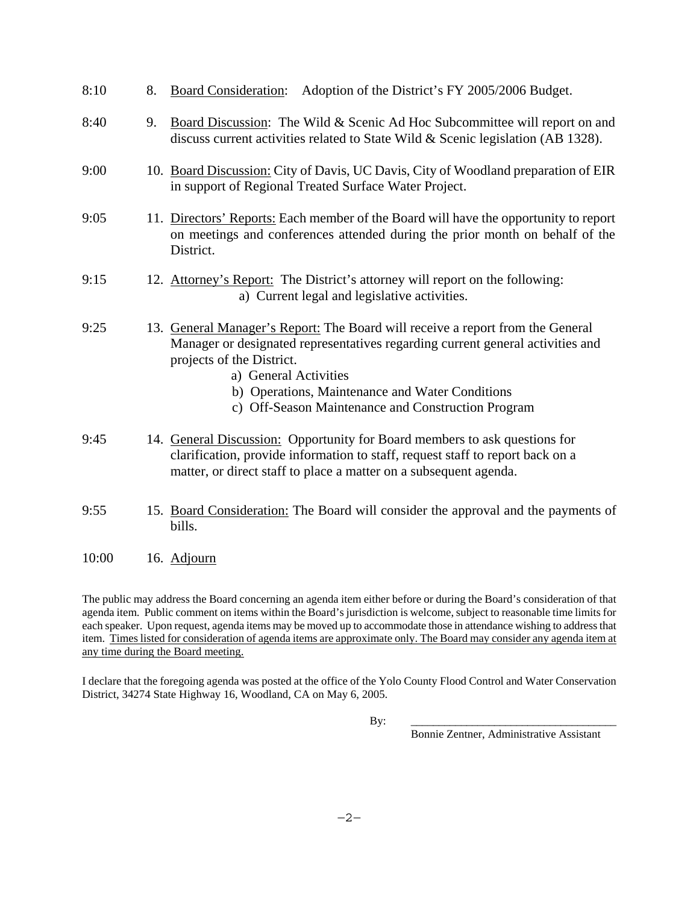| 8:10  | 8. | Adoption of the District's FY 2005/2006 Budget.<br><b>Board Consideration:</b>                                                                                                                                                                                                                                                  |
|-------|----|---------------------------------------------------------------------------------------------------------------------------------------------------------------------------------------------------------------------------------------------------------------------------------------------------------------------------------|
| 8:40  | 9. | Board Discussion: The Wild & Scenic Ad Hoc Subcommittee will report on and<br>discuss current activities related to State Wild & Scenic legislation (AB 1328).                                                                                                                                                                  |
| 9:00  |    | 10. Board Discussion: City of Davis, UC Davis, City of Woodland preparation of EIR<br>in support of Regional Treated Surface Water Project.                                                                                                                                                                                     |
| 9:05  |    | 11. Directors' Reports: Each member of the Board will have the opportunity to report<br>on meetings and conferences attended during the prior month on behalf of the<br>District.                                                                                                                                               |
| 9:15  |    | 12. Attorney's Report: The District's attorney will report on the following:<br>a) Current legal and legislative activities.                                                                                                                                                                                                    |
| 9:25  |    | 13. General Manager's Report: The Board will receive a report from the General<br>Manager or designated representatives regarding current general activities and<br>projects of the District.<br>a) General Activities<br>b) Operations, Maintenance and Water Conditions<br>c) Off-Season Maintenance and Construction Program |
| 9:45  |    | 14. General Discussion: Opportunity for Board members to ask questions for<br>clarification, provide information to staff, request staff to report back on a<br>matter, or direct staff to place a matter on a subsequent agenda.                                                                                               |
| 9:55  |    | 15. Board Consideration: The Board will consider the approval and the payments of<br>bills.                                                                                                                                                                                                                                     |
| 10:00 |    | 16. Adjourn                                                                                                                                                                                                                                                                                                                     |

The public may address the Board concerning an agenda item either before or during the Board's consideration of that agenda item. Public comment on items within the Board's jurisdiction is welcome, subject to reasonable time limits for each speaker. Upon request, agenda items may be moved up to accommodate those in attendance wishing to address that item. Times listed for consideration of agenda items are approximate only. The Board may consider any agenda item at any time during the Board meeting.

I declare that the foregoing agenda was posted at the office of the Yolo County Flood Control and Water Conservation District, 34274 State Highway 16, Woodland, CA on May 6, 2005.

By: \_\_\_\_\_\_\_\_\_\_\_\_\_\_\_\_\_\_\_\_\_\_\_\_\_\_\_\_\_\_\_\_\_\_\_\_\_

Bonnie Zentner, Administrative Assistant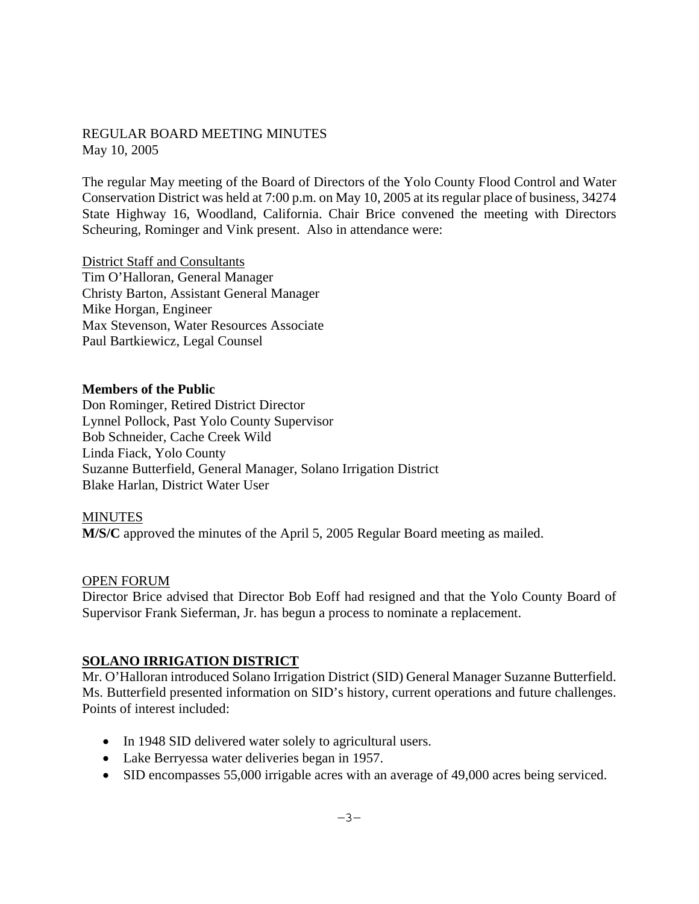### REGULAR BOARD MEETING MINUTES May 10, 2005

The regular May meeting of the Board of Directors of the Yolo County Flood Control and Water Conservation District was held at 7:00 p.m. on May 10, 2005 at its regular place of business, 34274 State Highway 16, Woodland, California. Chair Brice convened the meeting with Directors Scheuring, Rominger and Vink present. Also in attendance were:

District Staff and Consultants Tim O'Halloran, General Manager Christy Barton, Assistant General Manager Mike Horgan, Engineer Max Stevenson, Water Resources Associate Paul Bartkiewicz, Legal Counsel

### **Members of the Public**

Don Rominger, Retired District Director Lynnel Pollock, Past Yolo County Supervisor Bob Schneider, Cache Creek Wild Linda Fiack, Yolo County Suzanne Butterfield, General Manager, Solano Irrigation District Blake Harlan, District Water User

#### **MINUTES**

**M/S/C** approved the minutes of the April 5, 2005 Regular Board meeting as mailed.

#### OPEN FORUM

Director Brice advised that Director Bob Eoff had resigned and that the Yolo County Board of Supervisor Frank Sieferman, Jr. has begun a process to nominate a replacement.

### **SOLANO IRRIGATION DISTRICT**

Mr. O'Halloran introduced Solano Irrigation District (SID) General Manager Suzanne Butterfield. Ms. Butterfield presented information on SID's history, current operations and future challenges. Points of interest included:

- In 1948 SID delivered water solely to agricultural users.
- Lake Berryessa water deliveries began in 1957.
- SID encompasses 55,000 irrigable acres with an average of 49,000 acres being serviced.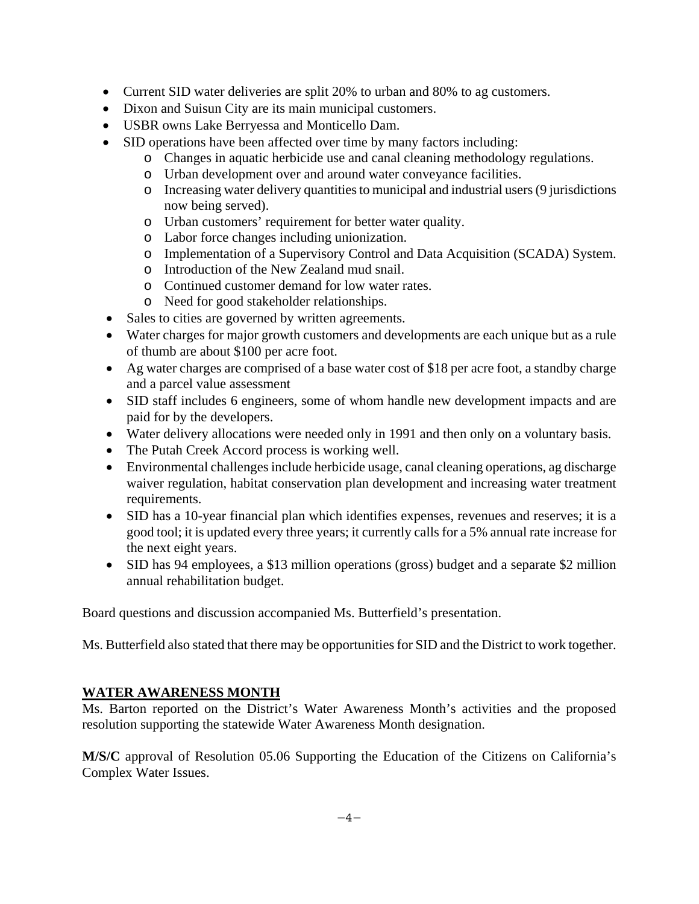- Current SID water deliveries are split 20% to urban and 80% to ag customers.
- Dixon and Suisun City are its main municipal customers.
- USBR owns Lake Berryessa and Monticello Dam.
- SID operations have been affected over time by many factors including:
	- o Changes in aquatic herbicide use and canal cleaning methodology regulations.
	- o Urban development over and around water conveyance facilities.
	- o Increasing water delivery quantities to municipal and industrial users (9 jurisdictions now being served).
	- o Urban customers' requirement for better water quality.
	- o Labor force changes including unionization.
	- o Implementation of a Supervisory Control and Data Acquisition (SCADA) System.
	- o Introduction of the New Zealand mud snail.
	- o Continued customer demand for low water rates.
	- o Need for good stakeholder relationships.
- Sales to cities are governed by written agreements.
- Water charges for major growth customers and developments are each unique but as a rule of thumb are about \$100 per acre foot.
- Ag water charges are comprised of a base water cost of \$18 per acre foot, a standby charge and a parcel value assessment
- SID staff includes 6 engineers, some of whom handle new development impacts and are paid for by the developers.
- Water delivery allocations were needed only in 1991 and then only on a voluntary basis.
- The Putah Creek Accord process is working well.
- Environmental challenges include herbicide usage, canal cleaning operations, ag discharge waiver regulation, habitat conservation plan development and increasing water treatment requirements.
- SID has a 10-year financial plan which identifies expenses, revenues and reserves; it is a good tool; it is updated every three years; it currently calls for a 5% annual rate increase for the next eight years.
- SID has 94 employees, a \$13 million operations (gross) budget and a separate \$2 million annual rehabilitation budget.

Board questions and discussion accompanied Ms. Butterfield's presentation.

Ms. Butterfield also stated that there may be opportunities for SID and the District to work together.

## **WATER AWARENESS MONTH**

Ms. Barton reported on the District's Water Awareness Month's activities and the proposed resolution supporting the statewide Water Awareness Month designation.

**M/S/C** approval of Resolution 05.06 Supporting the Education of the Citizens on California's Complex Water Issues.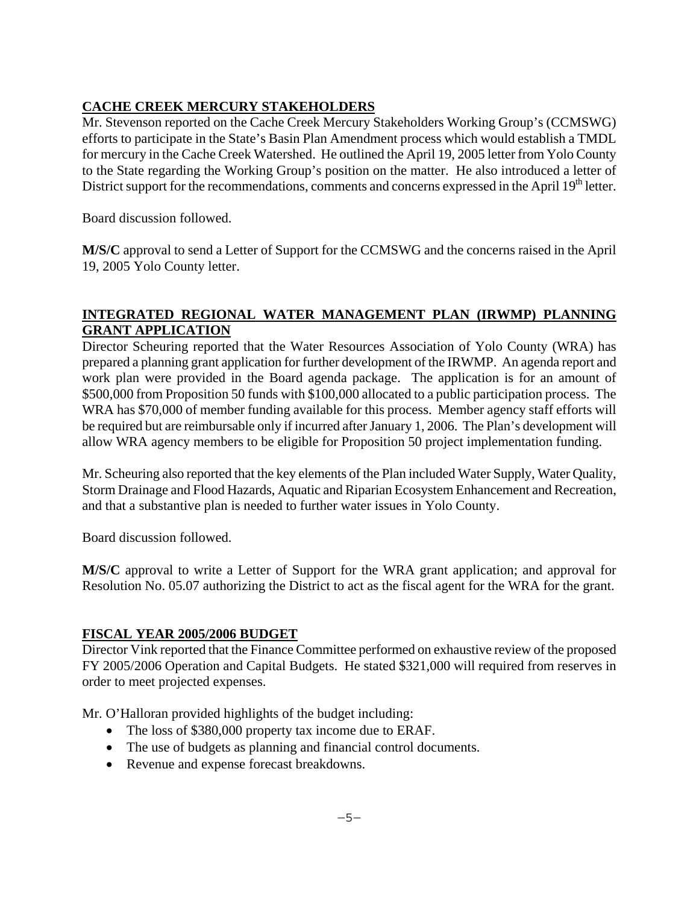# **CACHE CREEK MERCURY STAKEHOLDERS**

Mr. Stevenson reported on the Cache Creek Mercury Stakeholders Working Group's (CCMSWG) efforts to participate in the State's Basin Plan Amendment process which would establish a TMDL for mercury in the Cache Creek Watershed. He outlined the April 19, 2005 letter from Yolo County to the State regarding the Working Group's position on the matter. He also introduced a letter of District support for the recommendations, comments and concerns expressed in the April 19<sup>th</sup> letter.

Board discussion followed.

**M/S/C** approval to send a Letter of Support for the CCMSWG and the concerns raised in the April 19, 2005 Yolo County letter.

### **INTEGRATED REGIONAL WATER MANAGEMENT PLAN (IRWMP) PLANNING GRANT APPLICATION**

Director Scheuring reported that the Water Resources Association of Yolo County (WRA) has prepared a planning grant application for further development of the IRWMP. An agenda report and work plan were provided in the Board agenda package. The application is for an amount of \$500,000 from Proposition 50 funds with \$100,000 allocated to a public participation process. The WRA has \$70,000 of member funding available for this process. Member agency staff efforts will be required but are reimbursable only if incurred after January 1, 2006. The Plan's development will allow WRA agency members to be eligible for Proposition 50 project implementation funding.

Mr. Scheuring also reported that the key elements of the Plan included Water Supply, Water Quality, Storm Drainage and Flood Hazards, Aquatic and Riparian Ecosystem Enhancement and Recreation, and that a substantive plan is needed to further water issues in Yolo County.

Board discussion followed.

**M/S/C** approval to write a Letter of Support for the WRA grant application; and approval for Resolution No. 05.07 authorizing the District to act as the fiscal agent for the WRA for the grant.

## **FISCAL YEAR 2005/2006 BUDGET**

Director Vink reported that the Finance Committee performed on exhaustive review of the proposed FY 2005/2006 Operation and Capital Budgets. He stated \$321,000 will required from reserves in order to meet projected expenses.

Mr. O'Halloran provided highlights of the budget including:

- The loss of \$380,000 property tax income due to ERAF.
- The use of budgets as planning and financial control documents.
- Revenue and expense forecast breakdowns.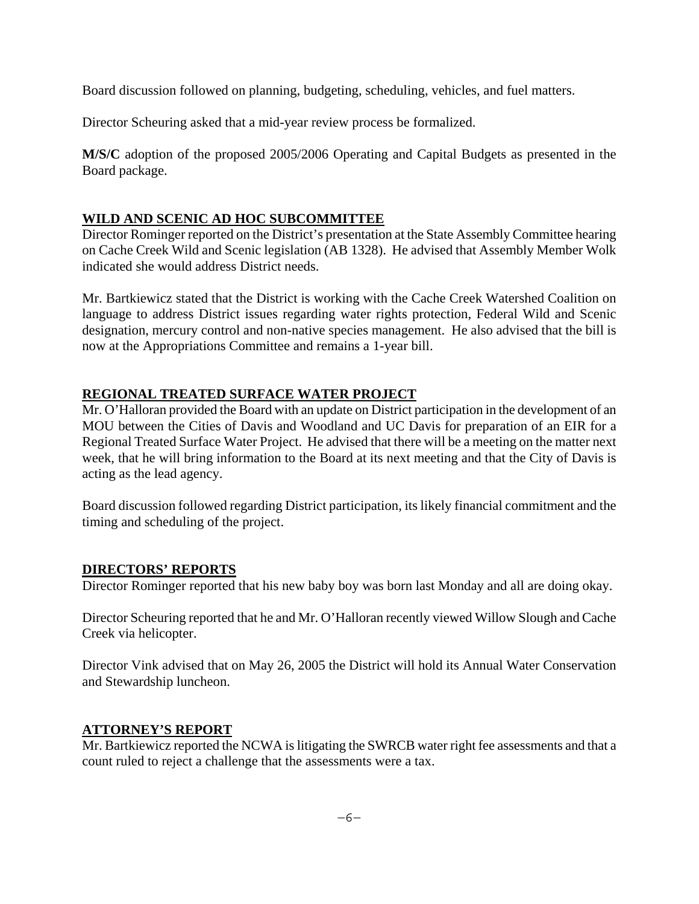Board discussion followed on planning, budgeting, scheduling, vehicles, and fuel matters.

Director Scheuring asked that a mid-year review process be formalized.

**M/S/C** adoption of the proposed 2005/2006 Operating and Capital Budgets as presented in the Board package.

## **WILD AND SCENIC AD HOC SUBCOMMITTEE**

Director Rominger reported on the District's presentation at the State Assembly Committee hearing on Cache Creek Wild and Scenic legislation (AB 1328). He advised that Assembly Member Wolk indicated she would address District needs.

Mr. Bartkiewicz stated that the District is working with the Cache Creek Watershed Coalition on language to address District issues regarding water rights protection, Federal Wild and Scenic designation, mercury control and non-native species management. He also advised that the bill is now at the Appropriations Committee and remains a 1-year bill.

## **REGIONAL TREATED SURFACE WATER PROJECT**

Mr. O'Halloran provided the Board with an update on District participation in the development of an MOU between the Cities of Davis and Woodland and UC Davis for preparation of an EIR for a Regional Treated Surface Water Project. He advised that there will be a meeting on the matter next week, that he will bring information to the Board at its next meeting and that the City of Davis is acting as the lead agency.

Board discussion followed regarding District participation, its likely financial commitment and the timing and scheduling of the project.

## **DIRECTORS' REPORTS**

Director Rominger reported that his new baby boy was born last Monday and all are doing okay.

Director Scheuring reported that he and Mr. O'Halloran recently viewed Willow Slough and Cache Creek via helicopter.

Director Vink advised that on May 26, 2005 the District will hold its Annual Water Conservation and Stewardship luncheon.

## **ATTORNEY'S REPORT**

Mr. Bartkiewicz reported the NCWA is litigating the SWRCB water right fee assessments and that a count ruled to reject a challenge that the assessments were a tax.